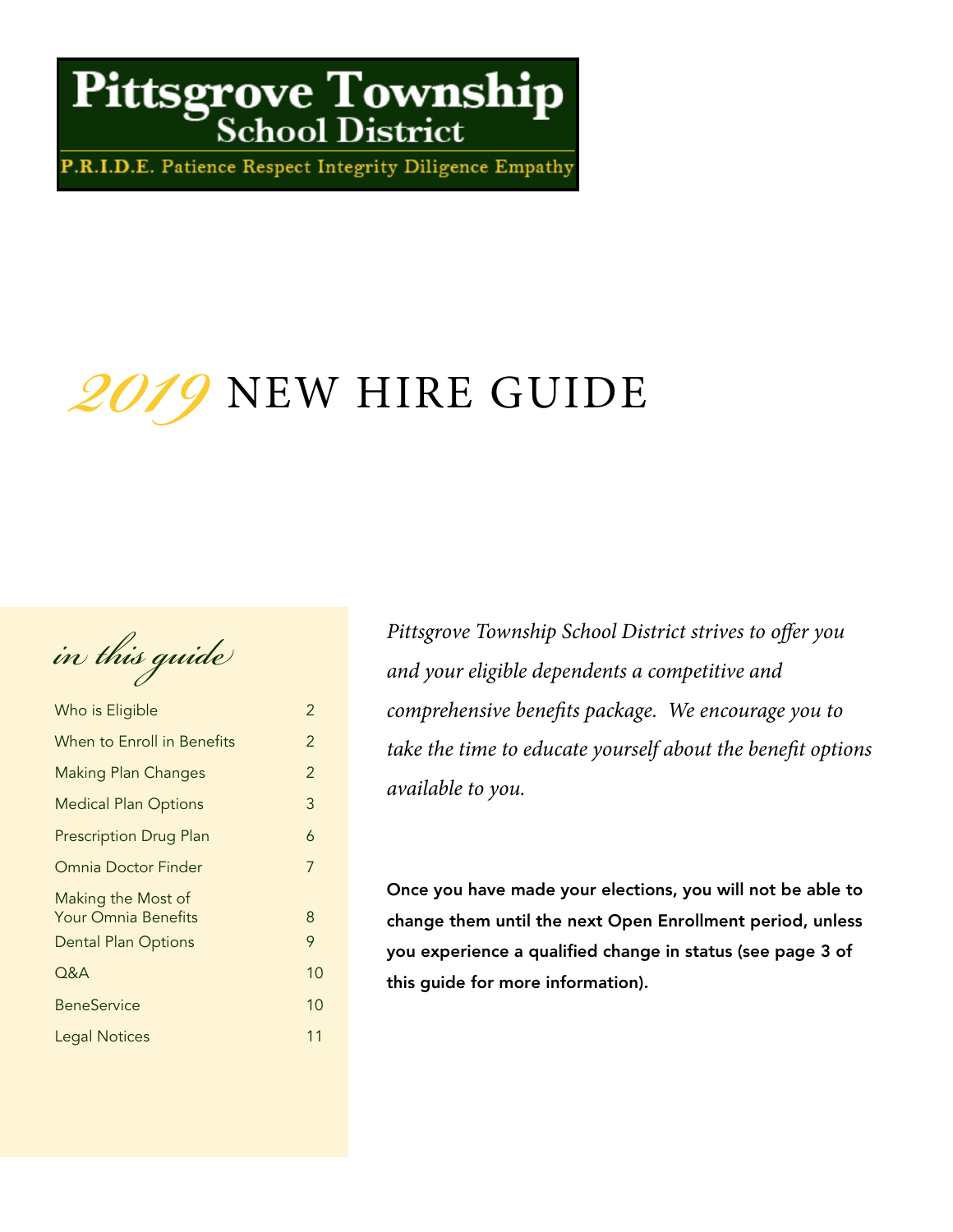# Pittsgrove Township

P.R.I.D.E. Patience Respect Integrity Diligence Empathy

# 2019 NEW HIRE GUIDE

*in this guide* 

| Who is Eligible                                                                | 2              |
|--------------------------------------------------------------------------------|----------------|
| When to Enroll in Benefits                                                     | $\overline{2}$ |
| <b>Making Plan Changes</b>                                                     | $\overline{2}$ |
| <b>Medical Plan Options</b>                                                    | 3              |
| <b>Prescription Drug Plan</b>                                                  | 6              |
| Omnia Doctor Finder                                                            | 7              |
| Making the Most of<br><b>Your Omnia Benefits</b><br><b>Dental Plan Options</b> | 8<br>9         |
| Q&A                                                                            | 10             |
| <b>BeneService</b>                                                             | 10             |
| <b>Legal Notices</b>                                                           | 11             |
|                                                                                |                |

Pittsgrove Township School District strives to offer you and your eligible dependents a competitive and comprehensive benefits package. We encourage you to take the time to educate yourself about the benefit options available to you.

Once you have made your elections, you will not be able to change them until the next Open Enrollment period, unless you experience a qualified change in status (see page 3 of this guide for more information).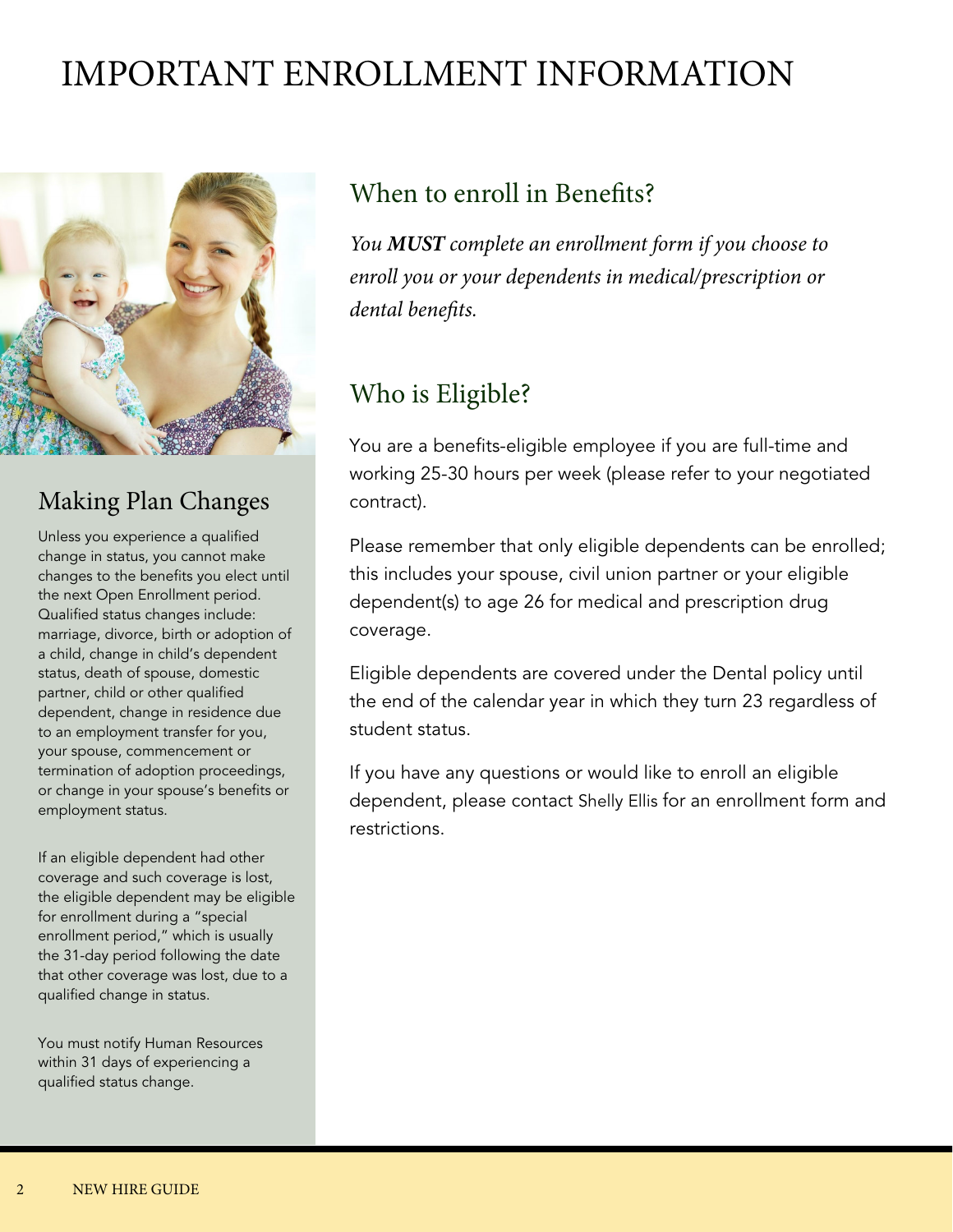# IMPORTANT ENROLLMENT INFORMATION



### Making Plan Changes

Unless you experience a qualified change in status, you cannot make changes to the benefits you elect until the next Open Enrollment period. Qualified status changes include: marriage, divorce, birth or adoption of a child, change in child's dependent status, death of spouse, domestic partner, child or other qualified dependent, change in residence due to an employment transfer for you, your spouse, commencement or termination of adoption proceedings, or change in your spouse's benefits or employment status.

If an eligible dependent had other coverage and such coverage is lost, the eligible dependent may be eligible for enrollment during a "special enrollment period," which is usually the 31-day period following the date that other coverage was lost, due to a qualified change in status.

You must notify Human Resources within 31 days of experiencing a qualified status change.

### When to enroll in Benefits?

You **MUST** complete an enrollment form if you choose to enroll you or your dependents in medical/prescription or dental benefits.

### Who is Eligible?

You are a benefits-eligible employee if you are full-time and working 25-30 hours per week (please refer to your negotiated contract).

Please remember that only eligible dependents can be enrolled; this includes your spouse, civil union partner or your eligible dependent(s) to age 26 for medical and prescription drug coverage.

Eligible dependents are covered under the Dental policy until the end of the calendar year in which they turn 23 regardless of student status.

If you have any questions or would like to enroll an eligible dependent, please contact Shelly Ellis for an enrollment form and restrictions.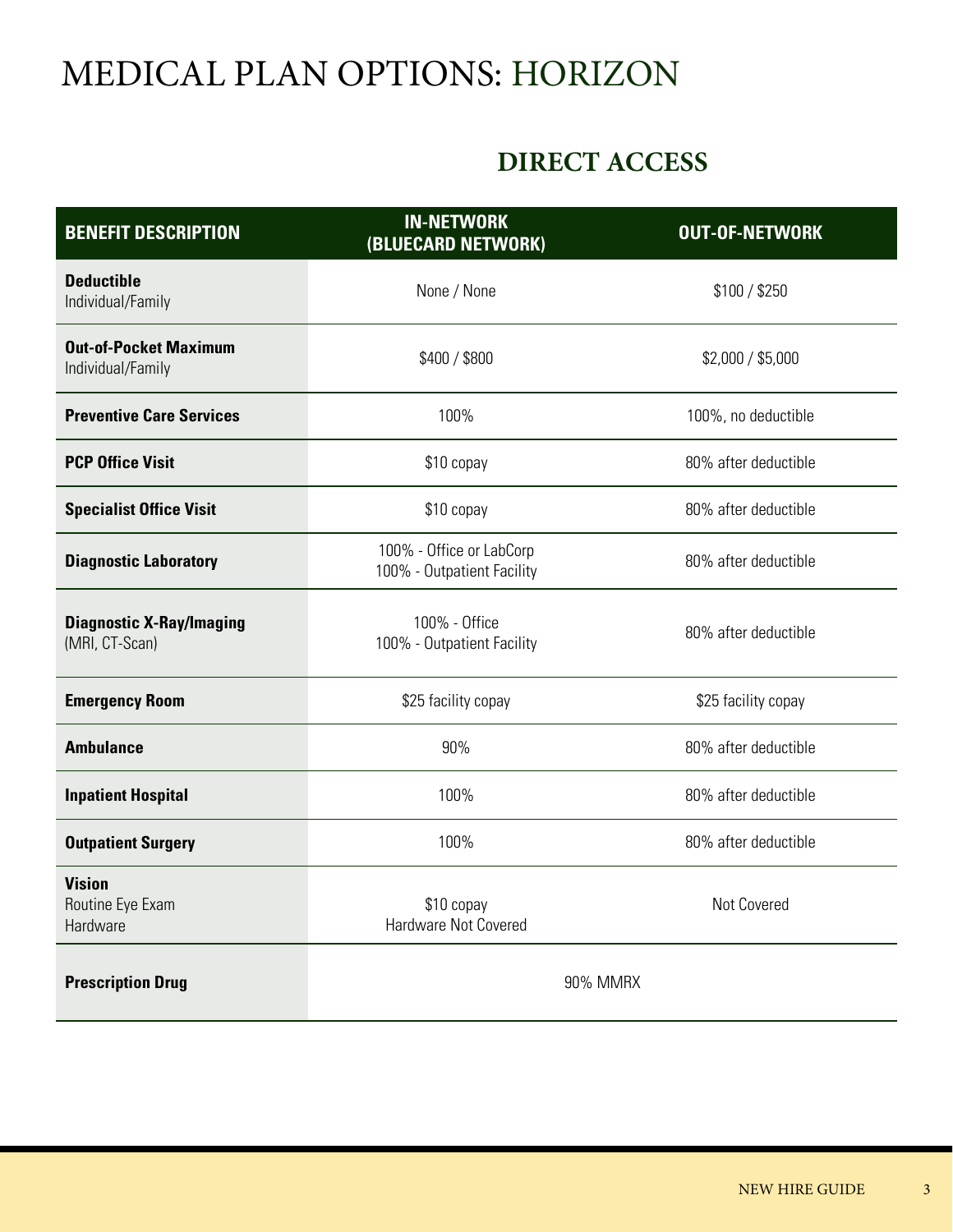# MEDICAL PLAN OPTIONS: HORIZON

### **DIRECT ACCESS**

| <b>BENEFIT DESCRIPTION</b>                        | <b>IN-NETWORK</b><br>(BLUECARD NETWORK)                | <b>OUT-OF-NETWORK</b> |
|---------------------------------------------------|--------------------------------------------------------|-----------------------|
| <b>Deductible</b><br>Individual/Family            | None / None                                            | \$100 / \$250         |
| <b>Out-of-Pocket Maximum</b><br>Individual/Family | \$400 / \$800                                          | \$2,000 / \$5,000     |
| <b>Preventive Care Services</b>                   | 100%                                                   | 100%, no deductible   |
| <b>PCP Office Visit</b>                           | \$10 copay                                             | 80% after deductible  |
| <b>Specialist Office Visit</b>                    | \$10 copay                                             | 80% after deductible  |
| <b>Diagnostic Laboratory</b>                      | 100% - Office or LabCorp<br>100% - Outpatient Facility | 80% after deductible  |
| <b>Diagnostic X-Ray/Imaging</b><br>(MRI, CT-Scan) | 100% - Office<br>100% - Outpatient Facility            | 80% after deductible  |
| <b>Emergency Room</b>                             | \$25 facility copay                                    | \$25 facility copay   |
| <b>Ambulance</b>                                  | 90%                                                    | 80% after deductible  |
| <b>Inpatient Hospital</b>                         | 100%                                                   | 80% after deductible  |
| <b>Outpatient Surgery</b>                         | 100%                                                   | 80% after deductible  |
| <b>Vision</b><br>Routine Eye Exam<br>Hardware     | \$10 copay<br>Hardware Not Covered                     | Not Covered           |
| <b>Prescription Drug</b>                          | 90% MMRX                                               |                       |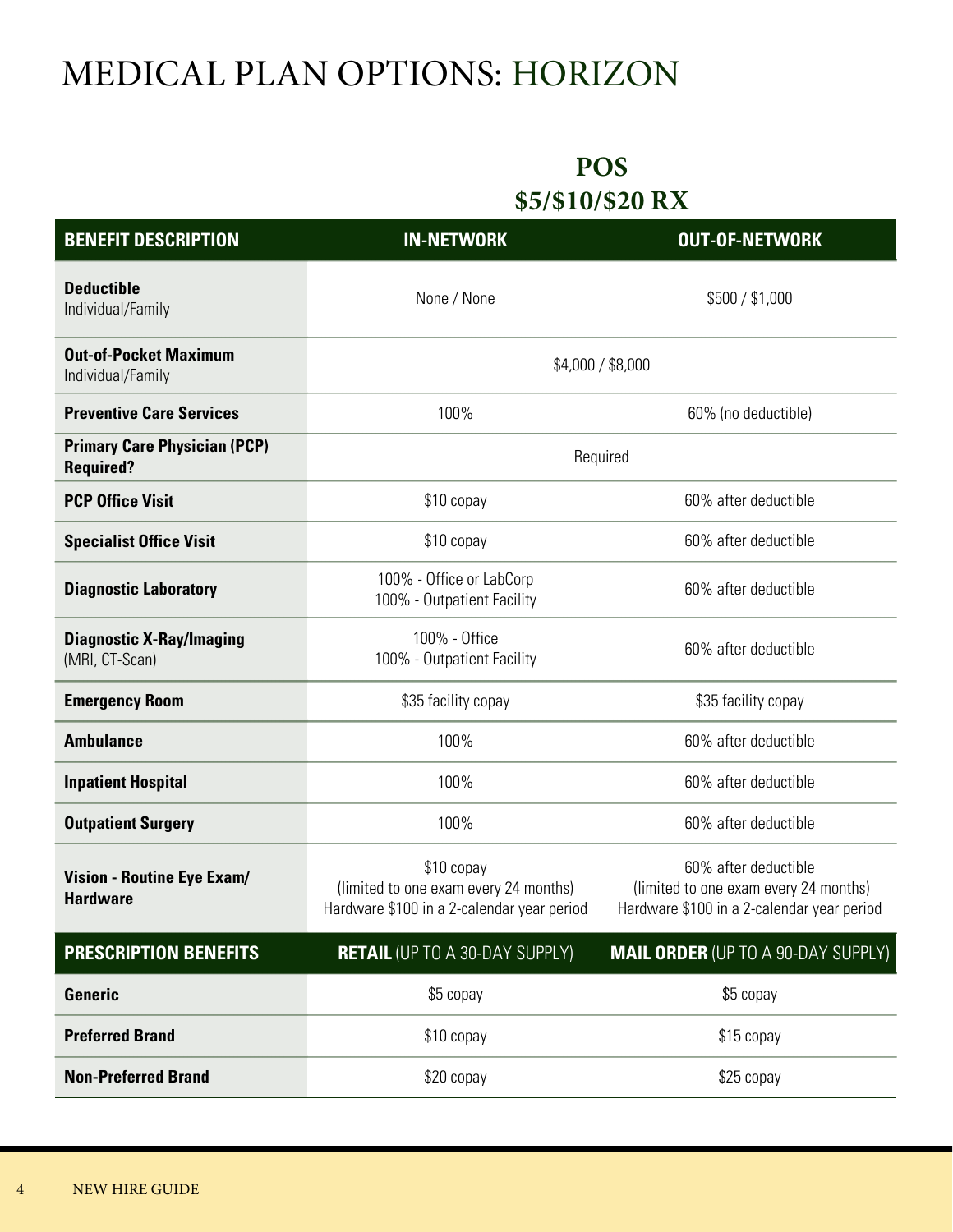# MEDICAL PLAN OPTIONS: HORIZON

### **POS \$5/\$10/\$20 RX**

| <b>BENEFIT DESCRIPTION</b>                              | <b>IN-NETWORK</b>                                                                                 | <b>OUT-OF-NETWORK</b>                                                                                       |
|---------------------------------------------------------|---------------------------------------------------------------------------------------------------|-------------------------------------------------------------------------------------------------------------|
| <b>Deductible</b><br>Individual/Family                  | None / None                                                                                       | \$500 / \$1,000                                                                                             |
| <b>Out-of-Pocket Maximum</b><br>Individual/Family       | \$4,000 / \$8,000                                                                                 |                                                                                                             |
| <b>Preventive Care Services</b>                         | 100%                                                                                              | 60% (no deductible)                                                                                         |
| <b>Primary Care Physician (PCP)</b><br><b>Required?</b> | Required                                                                                          |                                                                                                             |
| <b>PCP Office Visit</b>                                 | \$10 copay                                                                                        | 60% after deductible                                                                                        |
| <b>Specialist Office Visit</b>                          | \$10 copay                                                                                        | 60% after deductible                                                                                        |
| <b>Diagnostic Laboratory</b>                            | 100% - Office or LabCorp<br>100% - Outpatient Facility                                            | 60% after deductible                                                                                        |
| <b>Diagnostic X-Ray/Imaging</b><br>(MRI, CT-Scan)       | 100% - Office<br>100% - Outpatient Facility                                                       | 60% after deductible                                                                                        |
| <b>Emergency Room</b>                                   | \$35 facility copay                                                                               | \$35 facility copay                                                                                         |
| <b>Ambulance</b>                                        | 100%                                                                                              | 60% after deductible                                                                                        |
| <b>Inpatient Hospital</b>                               | 100%                                                                                              | 60% after deductible                                                                                        |
| <b>Outpatient Surgery</b>                               | 100%                                                                                              | 60% after deductible                                                                                        |
| <b>Vision - Routine Eye Exam/</b><br><b>Hardware</b>    | \$10 copay<br>(limited to one exam every 24 months)<br>Hardware \$100 in a 2-calendar year period | 60% after deductible<br>(limited to one exam every 24 months)<br>Hardware \$100 in a 2-calendar year period |
| <b>PRESCRIPTION BENEFITS</b>                            | <b>RETAIL (UP TO A 30-DAY SUPPLY)</b>                                                             | <b>MAIL ORDER (UP TO A 90-DAY SUPPLY)</b>                                                                   |
| Generic                                                 | \$5 copay                                                                                         | \$5 copay                                                                                                   |
| <b>Preferred Brand</b>                                  | \$10 copay                                                                                        | \$15 copay                                                                                                  |
| <b>Non-Preferred Brand</b>                              | \$20 copay                                                                                        | \$25 copay                                                                                                  |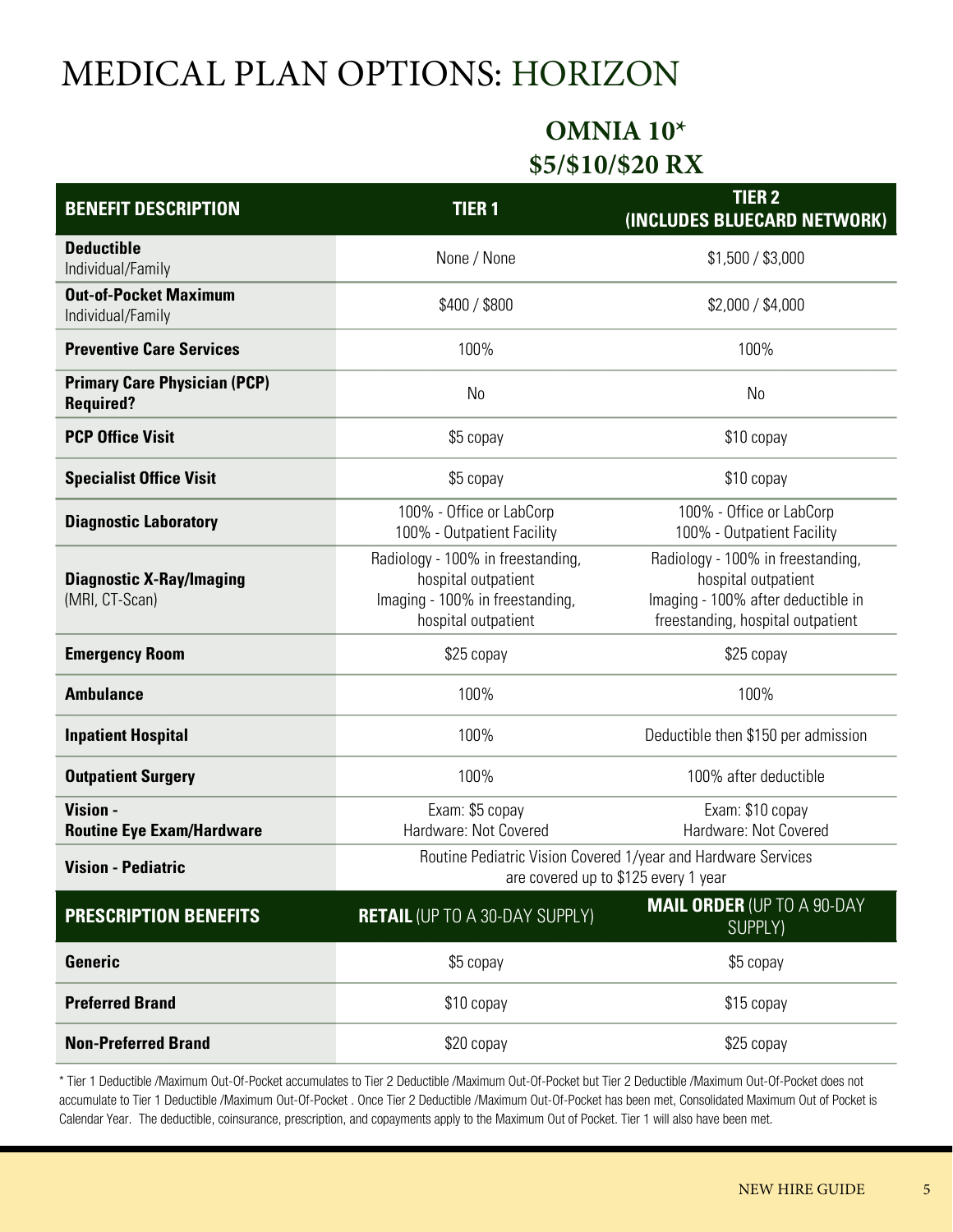# MEDICAL PLAN OPTIONS: HORIZON

### **OMNIA 10\* \$5/\$10/\$20 RX**

| <b>BENEFIT DESCRIPTION</b>                              | <b>TIER1</b>                                                                                                       | <b>TIER 2</b><br>(INCLUDES BLUECARD NETWORK)                                                                                        |
|---------------------------------------------------------|--------------------------------------------------------------------------------------------------------------------|-------------------------------------------------------------------------------------------------------------------------------------|
| <b>Deductible</b><br>Individual/Family                  | None / None                                                                                                        | \$1,500 / \$3,000                                                                                                                   |
| <b>Out-of-Pocket Maximum</b><br>Individual/Family       | \$400 / \$800                                                                                                      | \$2,000 / \$4,000                                                                                                                   |
| <b>Preventive Care Services</b>                         | 100%                                                                                                               | 100%                                                                                                                                |
| <b>Primary Care Physician (PCP)</b><br><b>Required?</b> | N <sub>0</sub>                                                                                                     | N <sub>0</sub>                                                                                                                      |
| <b>PCP Office Visit</b>                                 | \$5 copay                                                                                                          | \$10 copay                                                                                                                          |
| <b>Specialist Office Visit</b>                          | \$5 copay                                                                                                          | \$10 copay                                                                                                                          |
| <b>Diagnostic Laboratory</b>                            | 100% - Office or LabCorp<br>100% - Outpatient Facility                                                             | 100% - Office or LabCorp<br>100% - Outpatient Facility                                                                              |
| <b>Diagnostic X-Ray/Imaging</b><br>(MRI, CT-Scan)       | Radiology - 100% in freestanding,<br>hospital outpatient<br>Imaging - 100% in freestanding,<br>hospital outpatient | Radiology - 100% in freestanding,<br>hospital outpatient<br>Imaging - 100% after deductible in<br>freestanding, hospital outpatient |
| <b>Emergency Room</b>                                   | \$25 copay                                                                                                         | \$25 copay                                                                                                                          |
| <b>Ambulance</b>                                        | 100%                                                                                                               | 100%                                                                                                                                |
| <b>Inpatient Hospital</b>                               | 100%                                                                                                               | Deductible then \$150 per admission                                                                                                 |
| <b>Outpatient Surgery</b>                               | 100%                                                                                                               | 100% after deductible                                                                                                               |
| Vision -<br><b>Routine Eye Exam/Hardware</b>            | Exam: \$5 copay<br>Hardware: Not Covered                                                                           | Exam: \$10 copay<br>Hardware: Not Covered                                                                                           |
| <b>Vision - Pediatric</b>                               | Routine Pediatric Vision Covered 1/year and Hardware Services<br>are covered up to \$125 every 1 year              |                                                                                                                                     |
| <b>PRESCRIPTION BENEFITS</b>                            | <b>RETAIL (UP TO A 30-DAY SUPPLY)</b>                                                                              | <b>MAIL ORDER (UP TO A 90-DAY</b><br>SUPPLY)                                                                                        |
| Generic                                                 | \$5 copay                                                                                                          | \$5 copay                                                                                                                           |
| <b>Preferred Brand</b>                                  | \$10 copay                                                                                                         | \$15 copay                                                                                                                          |
| <b>Non-Preferred Brand</b>                              | \$20 copay                                                                                                         | \$25 copay                                                                                                                          |

\* Tier 1 Deductible /Maximum Out-Of-Pocket accumulates to Tier 2 Deductible /Maximum Out-Of-Pocket but Tier 2 Deductible /Maximum Out-Of-Pocket does not accumulate to Tier 1 Deductible /Maximum Out-Of-Pocket . Once Tier 2 Deductible /Maximum Out-Of-Pocket has been met, Consolidated Maximum Out of Pocket is Calendar Year. The deductible, coinsurance, prescription, and copayments apply to the Maximum Out of Pocket. Tier 1 will also have been met.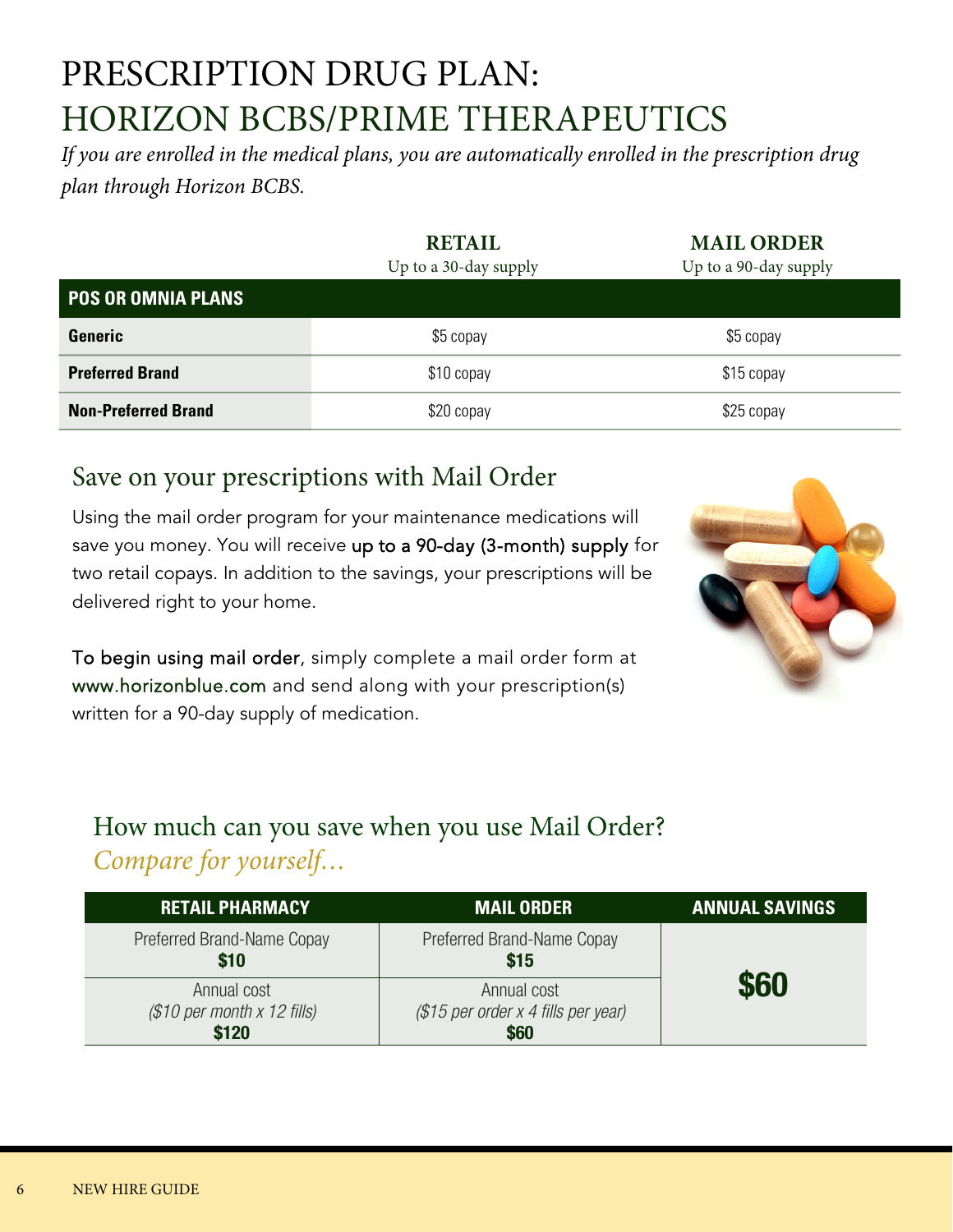# PRESCRIPTION DRUG PLAN: HORIZON BCBS/PRIME THERAPEUTICS

If you are enrolled in the medical plans, you are automatically enrolled in the prescription drug plan through Horizon BCBS.

**RETAIL** 

|                            | <b>RETAIL</b>         | <b>MAIL ORDER</b>     |
|----------------------------|-----------------------|-----------------------|
|                            | Up to a 30-day supply | Up to a 90-day supply |
| <b>POS OR OMNIA PLANS</b>  |                       |                       |
| Generic                    | \$5 copay             | \$5 copay             |
| <b>Preferred Brand</b>     | \$10 copay            | \$15 copay            |
| <b>Non-Preferred Brand</b> | \$20 copay            | \$25 copay            |

### Save on your prescriptions with Mail Order

Using the mail order program for your maintenance medications will save you money. You will receive up to a 90-day (3-month) supply for two retail copays. In addition to the savings, your prescriptions will be delivered right to your home.

To begin using mail order, simply complete a mail order form at www.horizonblue.com and send along with your prescription(s) written for a 90-day supply of medication.

### How much can you save when you use Mail Order? Compare for yourself…

| <b>RETAIL PHARMACY</b>                              | <b>MAIL ORDER</b>                                          | <b>ANNUAL SAVINGS</b> |
|-----------------------------------------------------|------------------------------------------------------------|-----------------------|
| Preferred Brand-Name Copay<br>\$10                  | Preferred Brand-Name Copay<br>\$15                         |                       |
| Annual cost<br>$$10$ per month x 12 fills)<br>\$120 | Annual cost<br>$$15$ per order x 4 fills per year)<br>\$60 | \$60                  |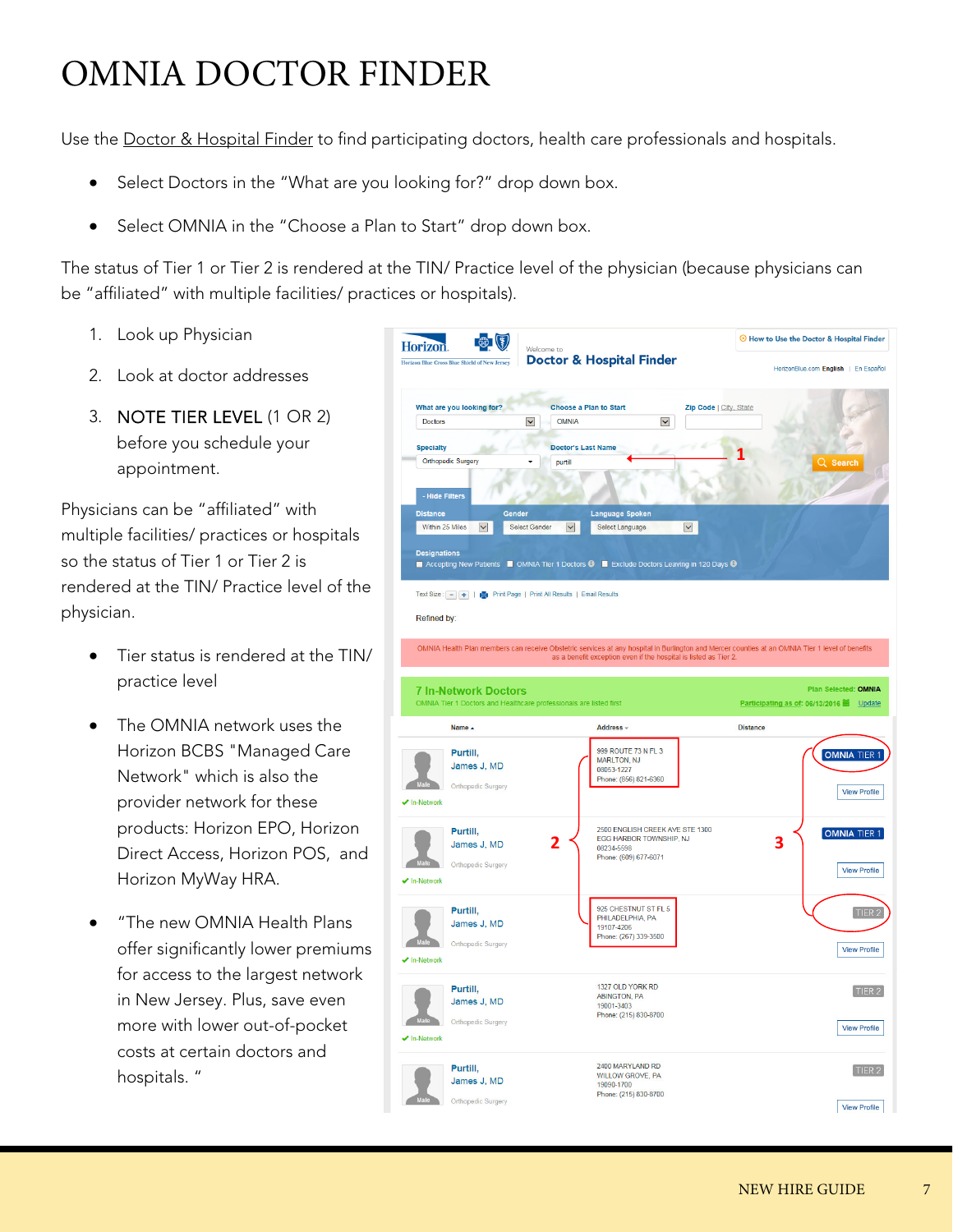# OMNIA DOCTOR FINDER

Use the Doctor & Hospital Finder to find participating doctors, health care professionals and hospitals.

- Select Doctors in the "What are you looking for?" drop down box.
- Select OMNIA in the "Choose a Plan to Start" drop down box.

The status of Tier 1 or Tier 2 is rendered at the TIN/ Practice level of the physician (because physicians can be "affiliated" with multiple facilities/ practices or hospitals).

- 1. Look up Physician
- 2. Look at doctor addresses
- 3. NOTE TIER LEVEL (1 OR 2) before you schedule your appointment.

Physicians can be "affiliated" with multiple facilities/ practices or hospitals so the status of Tier 1 or Tier 2 is rendered at the TIN/ Practice level of the physician.

- Tier status is rendered at the TIN/ practice level
- The OMNIA network uses the Horizon BCBS "Managed Care Network" which is also the provider network for these products: Horizon EPO, Horizon Direct Access, Horizon POS, and Horizon MyWay HRA.
- "The new OMNIA Health Plans offer significantly lower premiums for access to the largest network in New Jersey. Plus, save even more with lower out-of-pocket costs at certain doctors and hospitals. "

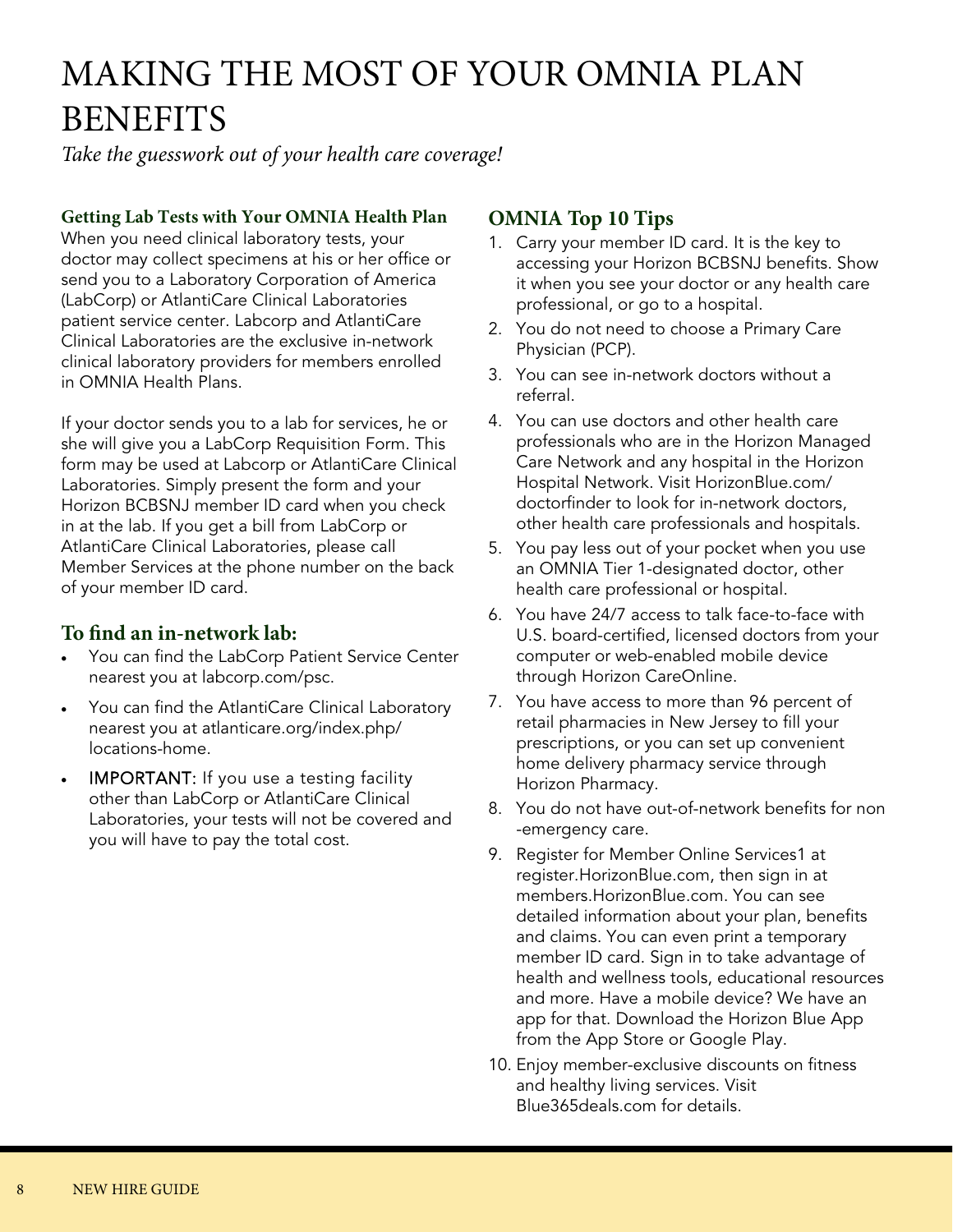# MAKING THE MOST OF YOUR OMNIA PLAN **BENEFITS**

Take the guesswork out of your health care coverage!

### **Getting Lab Tests with Your OMNIA Health Plan**

When you need clinical laboratory tests, your doctor may collect specimens at his or her office or send you to a Laboratory Corporation of America (LabCorp) or AtlantiCare Clinical Laboratories patient service center. Labcorp and AtlantiCare Clinical Laboratories are the exclusive in-network clinical laboratory providers for members enrolled in OMNIA Health Plans.

If your doctor sends you to a lab for services, he or she will give you a LabCorp Requisition Form. This form may be used at Labcorp or AtlantiCare Clinical Laboratories. Simply present the form and your Horizon BCBSNJ member ID card when you check in at the lab. If you get a bill from LabCorp or AtlantiCare Clinical Laboratories, please call Member Services at the phone number on the back of your member ID card.

### **To find an in-network lab:**

- You can find the LabCorp Patient Service Center nearest you at labcorp.com/psc.
- You can find the AtlantiCare Clinical Laboratory nearest you at atlanticare.org/index.php/ locations-home.
- IMPORTANT: If you use a testing facility other than LabCorp or AtlantiCare Clinical Laboratories, your tests will not be covered and you will have to pay the total cost.

### **OMNIA Top 10 Tips**

- 1. Carry your member ID card. It is the key to accessing your Horizon BCBSNJ benefits. Show it when you see your doctor or any health care professional, or go to a hospital.
- 2. You do not need to choose a Primary Care Physician (PCP).
- 3. You can see in-network doctors without a referral.
- 4. You can use doctors and other health care professionals who are in the Horizon Managed Care Network and any hospital in the Horizon Hospital Network. Visit HorizonBlue.com/ doctorfinder to look for in-network doctors, other health care professionals and hospitals.
- 5. You pay less out of your pocket when you use an OMNIA Tier 1-designated doctor, other health care professional or hospital.
- 6. You have 24/7 access to talk face-to-face with U.S. board-certified, licensed doctors from your computer or web-enabled mobile device through Horizon CareOnline.
- 7. You have access to more than 96 percent of retail pharmacies in New Jersey to fill your prescriptions, or you can set up convenient home delivery pharmacy service through Horizon Pharmacy.
- 8. You do not have out-of-network benefits for non -emergency care.
- 9. Register for Member Online Services1 at register.HorizonBlue.com, then sign in at members.HorizonBlue.com. You can see detailed information about your plan, benefits and claims. You can even print a temporary member ID card. Sign in to take advantage of health and wellness tools, educational resources and more. Have a mobile device? We have an app for that. Download the Horizon Blue App from the App Store or Google Play.
- 10. Enjoy member-exclusive discounts on fitness and healthy living services. Visit Blue365deals.com for details.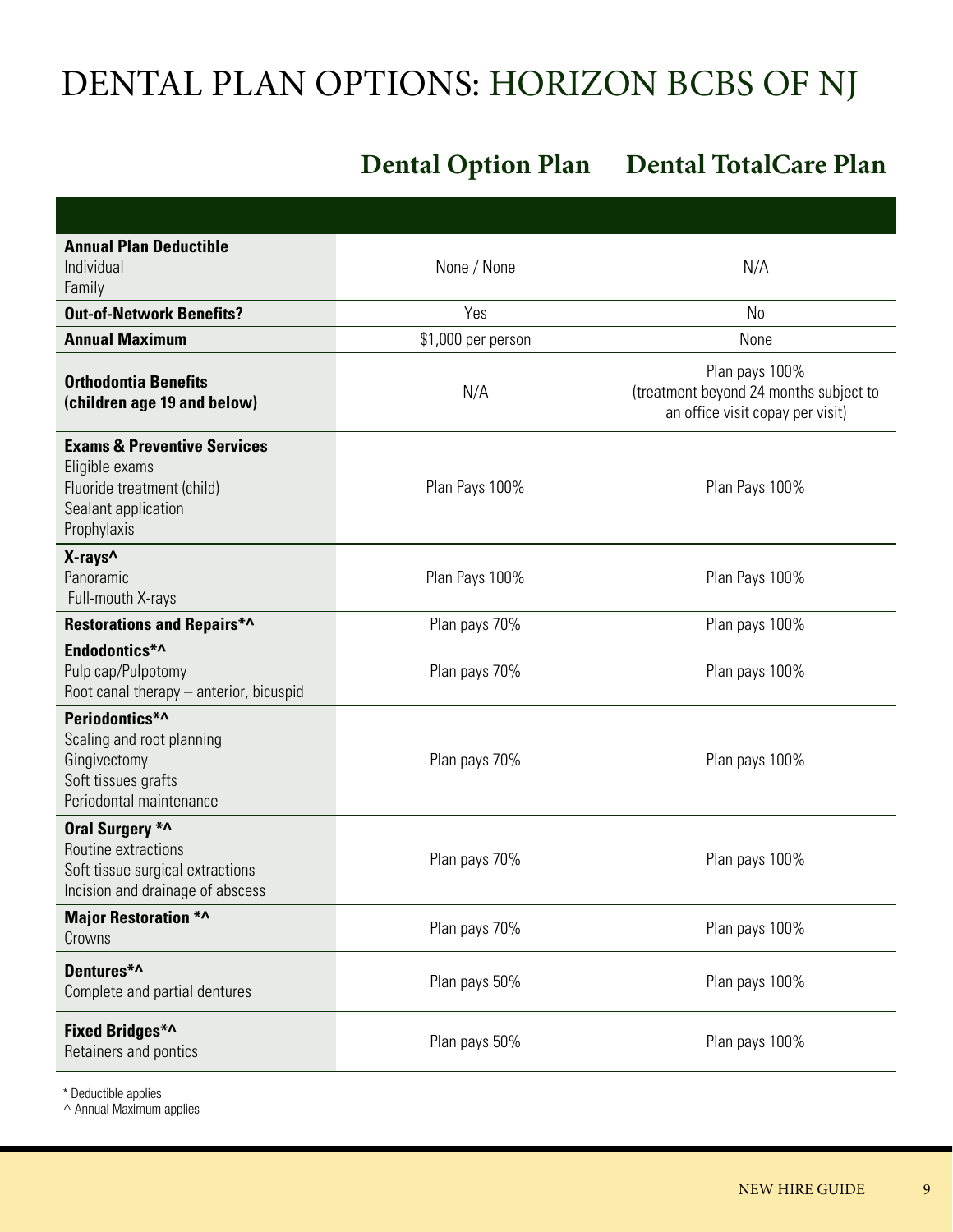# DENTAL PLAN OPTIONS: HORIZON BCBS OF NJ

### **Dental Option Plan Dental TotalCare Plan**

| <b>Annual Plan Deductible</b><br>Individual<br>Family                                                                        | None / None        | N/A                                                                                          |
|------------------------------------------------------------------------------------------------------------------------------|--------------------|----------------------------------------------------------------------------------------------|
| <b>Out-of-Network Benefits?</b>                                                                                              | Yes                | N <sub>0</sub>                                                                               |
| <b>Annual Maximum</b>                                                                                                        | \$1,000 per person | None                                                                                         |
| <b>Orthodontia Benefits</b><br>(children age 19 and below)                                                                   | N/A                | Plan pays 100%<br>(treatment beyond 24 months subject to<br>an office visit copay per visit) |
| <b>Exams &amp; Preventive Services</b><br>Eligible exams<br>Fluoride treatment (child)<br>Sealant application<br>Prophylaxis | Plan Pays 100%     | Plan Pays 100%                                                                               |
| X-rays <sup>^</sup><br>Panoramic<br>Full-mouth X-rays                                                                        | Plan Pays 100%     | Plan Pays 100%                                                                               |
| <b>Restorations and Repairs*^</b>                                                                                            | Plan pays 70%      | Plan pays 100%                                                                               |
| Endodontics*^<br>Pulp cap/Pulpotomy<br>Root canal therapy - anterior, bicuspid                                               | Plan pays 70%      | Plan pays 100%                                                                               |
| Periodontics*^<br>Scaling and root planning<br>Gingivectomy<br>Soft tissues grafts<br>Periodontal maintenance                | Plan pays 70%      | Plan pays 100%                                                                               |
| Oral Surgery *^<br>Routine extractions<br>Soft tissue surgical extractions<br>Incision and drainage of abscess               | Plan pays 70%      | Plan pays 100%                                                                               |
| <b>Major Restoration *^</b><br>Crowns                                                                                        | Plan pays 70%      | Plan pays 100%                                                                               |
| Dentures*^<br>Complete and partial dentures                                                                                  | Plan pays 50%      | Plan pays 100%                                                                               |
| Fixed Bridges*^<br>Retainers and pontics                                                                                     | Plan pays 50%      | Plan pays 100%                                                                               |

\* Deductible applies

 $\wedge$  Annual Maximum applies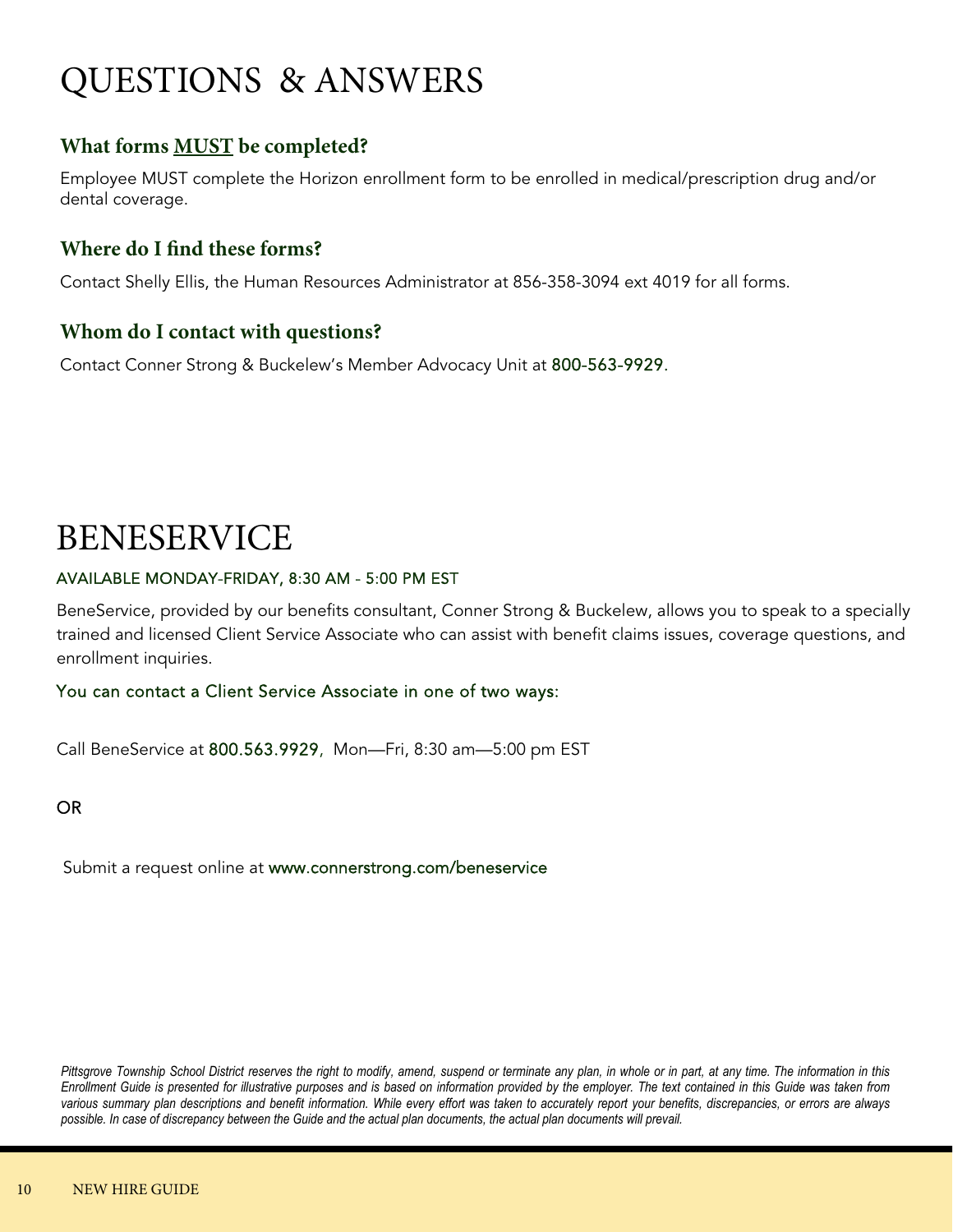# QUESTIONS & ANSWERS

### **What forms MUST be completed?**

Employee MUST complete the Horizon enrollment form to be enrolled in medical/prescription drug and/or dental coverage.

### **Where do I find these forms?**

Contact Shelly Ellis, the Human Resources Administrator at 856-358-3094 ext 4019 for all forms.

### **Whom do I contact with questions?**

Contact Conner Strong & Buckelew's Member Advocacy Unit at 800-563-9929.

### BENESERVICE

### AVAILABLE MONDAY-FRIDAY, 8:30 AM - 5:00 PM EST

BeneService, provided by our benefits consultant, Conner Strong & Buckelew, allows you to speak to a specially trained and licensed Client Service Associate who can assist with benefit claims issues, coverage questions, and enrollment inquiries.

### You can contact a Client Service Associate in one of two ways:

Call BeneService at 800.563.9929, Mon—Fri, 8:30 am—5:00 pm EST

### OR

Submit a request online at www.connerstrong.com/beneservice

*Pittsgrove Township School District reserves the right to modify, amend, suspend or terminate any plan, in whole or in part, at any time. The information in this Enrollment Guide is presented for illustrative purposes and is based on information provided by the employer. The text contained in this Guide was taken from various summary plan descriptions and benefit information. While every effort was taken to accurately report your benefits, discrepancies, or errors are always possible. In case of discrepancy between the Guide and the actual plan documents, the actual plan documents will prevail.*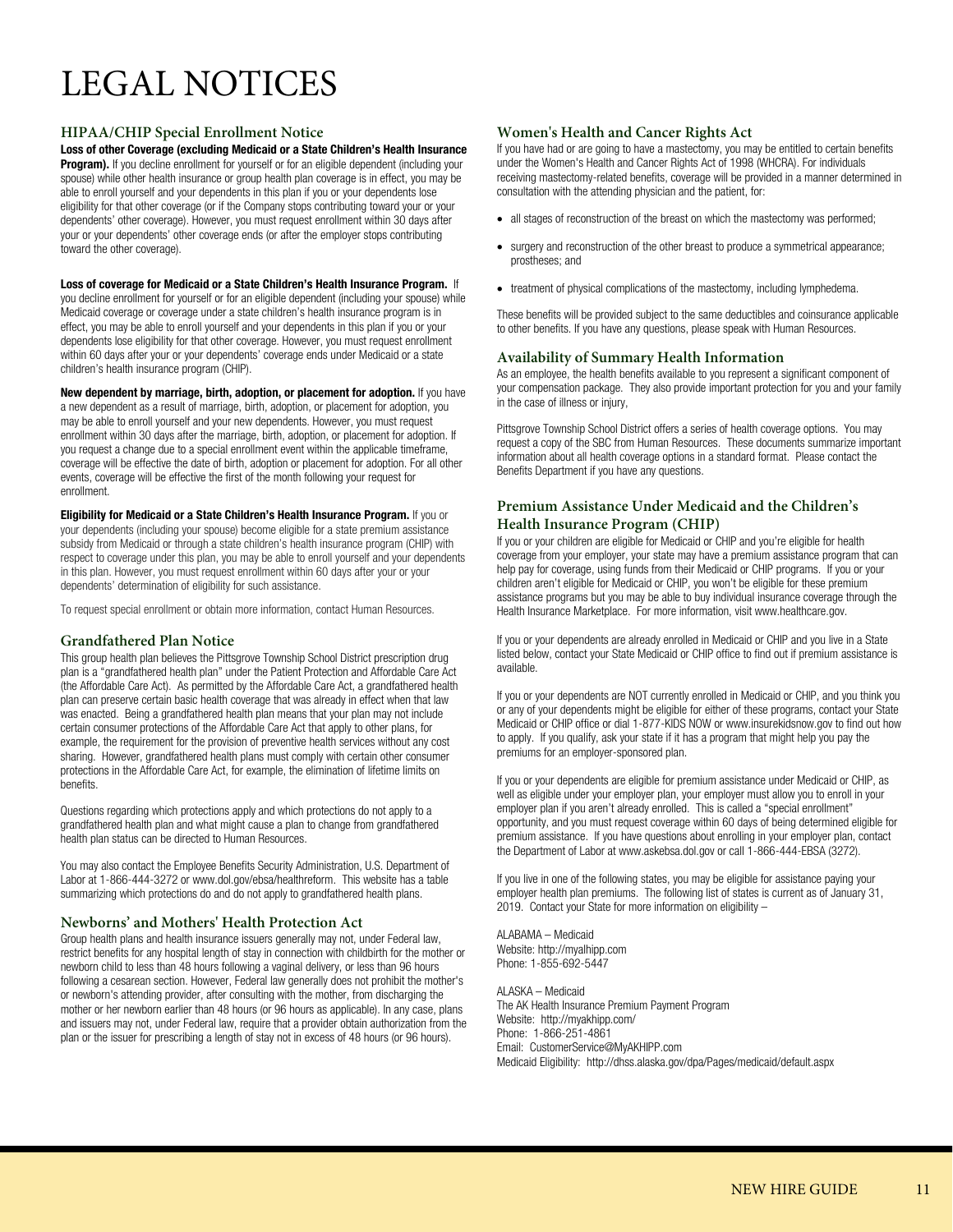# LEGAL NOTICES

### **HIPAA/CHIP Special Enrollment Notice**

**Loss of other Coverage (excluding Medicaid or a State Children's Health Insurance**  Program). If you decline enrollment for yourself or for an eligible dependent (including your spouse) while other health insurance or group health plan coverage is in effect, you may be able to enroll yourself and your dependents in this plan if you or your dependents lose eligibility for that other coverage (or if the Company stops contributing toward your or your dependents' other coverage). However, you must request enrollment within 30 days after your or your dependents' other coverage ends (or after the employer stops contributing toward the other coverage).

#### **Loss of coverage for Medicaid or a State Children's Health Insurance Program.** If

you decline enrollment for yourself or for an eligible dependent (including your spouse) while Medicaid coverage or coverage under a state children's health insurance program is in effect, you may be able to enroll yourself and your dependents in this plan if you or your dependents lose eligibility for that other coverage. However, you must request enrollment within 60 days after your or your dependents' coverage ends under Medicaid or a state children's health insurance program (CHIP).

**New dependent by marriage, birth, adoption, or placement for adoption.** If you have a new dependent as a result of marriage, birth, adoption, or placement for adoption, you may be able to enroll yourself and your new dependents. However, you must request enrollment within 30 days after the marriage, birth, adoption, or placement for adoption. If you request a change due to a special enrollment event within the applicable timeframe, coverage will be effective the date of birth, adoption or placement for adoption. For all other events, coverage will be effective the first of the month following your request for enrollment.

**Eligibility for Medicaid or a State Children's Health Insurance Program.** If you or your dependents (including your spouse) become eligible for a state premium assistance subsidy from Medicaid or through a state children's health insurance program (CHIP) with respect to coverage under this plan, you may be able to enroll yourself and your dependents in this plan. However, you must request enrollment within 60 days after your or your dependents' determination of eligibility for such assistance.

To request special enrollment or obtain more information, contact Human Resources.

### **Grandfathered Plan Notice**

This group health plan believes the Pittsgrove Township School District prescription drug plan is a "grandfathered health plan" under the Patient Protection and Affordable Care Act (the Affordable Care Act). As permitted by the Affordable Care Act, a grandfathered health plan can preserve certain basic health coverage that was already in effect when that law was enacted. Being a grandfathered health plan means that your plan may not include certain consumer protections of the Affordable Care Act that apply to other plans, for example, the requirement for the provision of preventive health services without any cost sharing. However, grandfathered health plans must comply with certain other consumer protections in the Affordable Care Act, for example, the elimination of lifetime limits on benefits.

Questions regarding which protections apply and which protections do not apply to a grandfathered health plan and what might cause a plan to change from grandfathered health plan status can be directed to Human Resources.

You may also contact the Employee Benefits Security Administration, U.S. Department of Labor at 1-866-444-3272 or www.dol.gov/ebsa/healthreform. This website has a table summarizing which protections do and do not apply to grandfathered health plans.

#### **Newborns' and Mothers' Health Protection Act**

Group health plans and health insurance issuers generally may not, under Federal law, restrict benefits for any hospital length of stay in connection with childbirth for the mother or newborn child to less than 48 hours following a vaginal delivery, or less than 96 hours following a cesarean section. However, Federal law generally does not prohibit the mother's or newborn's attending provider, after consulting with the mother, from discharging the mother or her newborn earlier than 48 hours (or 96 hours as applicable). In any case, plans and issuers may not, under Federal law, require that a provider obtain authorization from the plan or the issuer for prescribing a length of stay not in excess of 48 hours (or 96 hours).

#### **Women's Health and Cancer Rights Act**

If you have had or are going to have a mastectomy, you may be entitled to certain benefits under the Women's Health and Cancer Rights Act of 1998 (WHCRA). For individuals receiving mastectomy-related benefits, coverage will be provided in a manner determined in consultation with the attending physician and the patient, for:

- all stages of reconstruction of the breast on which the mastectomy was performed;
- surgery and reconstruction of the other breast to produce a symmetrical appearance; prostheses; and
- treatment of physical complications of the mastectomy, including lymphedema.

These benefits will be provided subject to the same deductibles and coinsurance applicable to other benefits. If you have any questions, please speak with Human Resources.

#### **Availability of Summary Health Information**

As an employee, the health benefits available to you represent a significant component of your compensation package. They also provide important protection for you and your family in the case of illness or injury,

Pittsgrove Township School District offers a series of health coverage options. You may request a copy of the SBC from Human Resources. These documents summarize important information about all health coverage options in a standard format. Please contact the Benefits Department if you have any questions.

### **Premium Assistance Under Medicaid and the Children's Health Insurance Program (CHIP)**

If you or your children are eligible for Medicaid or CHIP and you're eligible for health coverage from your employer, your state may have a premium assistance program that can help pay for coverage, using funds from their Medicaid or CHIP programs. If you or your children aren't eligible for Medicaid or CHIP, you won't be eligible for these premium assistance programs but you may be able to buy individual insurance coverage through the Health Insurance Marketplace. For more information, visit www.healthcare.gov.

If you or your dependents are already enrolled in Medicaid or CHIP and you live in a State listed below, contact your State Medicaid or CHIP office to find out if premium assistance is available.

If you or your dependents are NOT currently enrolled in Medicaid or CHIP, and you think you or any of your dependents might be eligible for either of these programs, contact your State Medicaid or CHIP office or dial 1-877-KIDS NOW or www.insurekidsnow.gov to find out how to apply. If you qualify, ask your state if it has a program that might help you pay the premiums for an employer-sponsored plan.

If you or your dependents are eligible for premium assistance under Medicaid or CHIP, as well as eligible under your employer plan, your employer must allow you to enroll in your employer plan if you aren't already enrolled. This is called a "special enrollment" opportunity, and you must request coverage within 60 days of being determined eligible for premium assistance. If you have questions about enrolling in your employer plan, contact the Department of Labor at www.askebsa.dol.gov or call 1-866-444-EBSA (3272).

If you live in one of the following states, you may be eligible for assistance paying your employer health plan premiums. The following list of states is current as of January 31, 2019. Contact your State for more information on eligibility –

ALABAMA – Medicaid Website: http://myalhipp.com Phone: 1-855-692-5447

ALASKA – Medicaid The AK Health Insurance Premium Payment Program Website: http://myakhipp.com/ Phone: 1-866-251-4861 Email: CustomerService@MyAKHIPP.com Medicaid Eligibility: http://dhss.alaska.gov/dpa/Pages/medicaid/default.aspx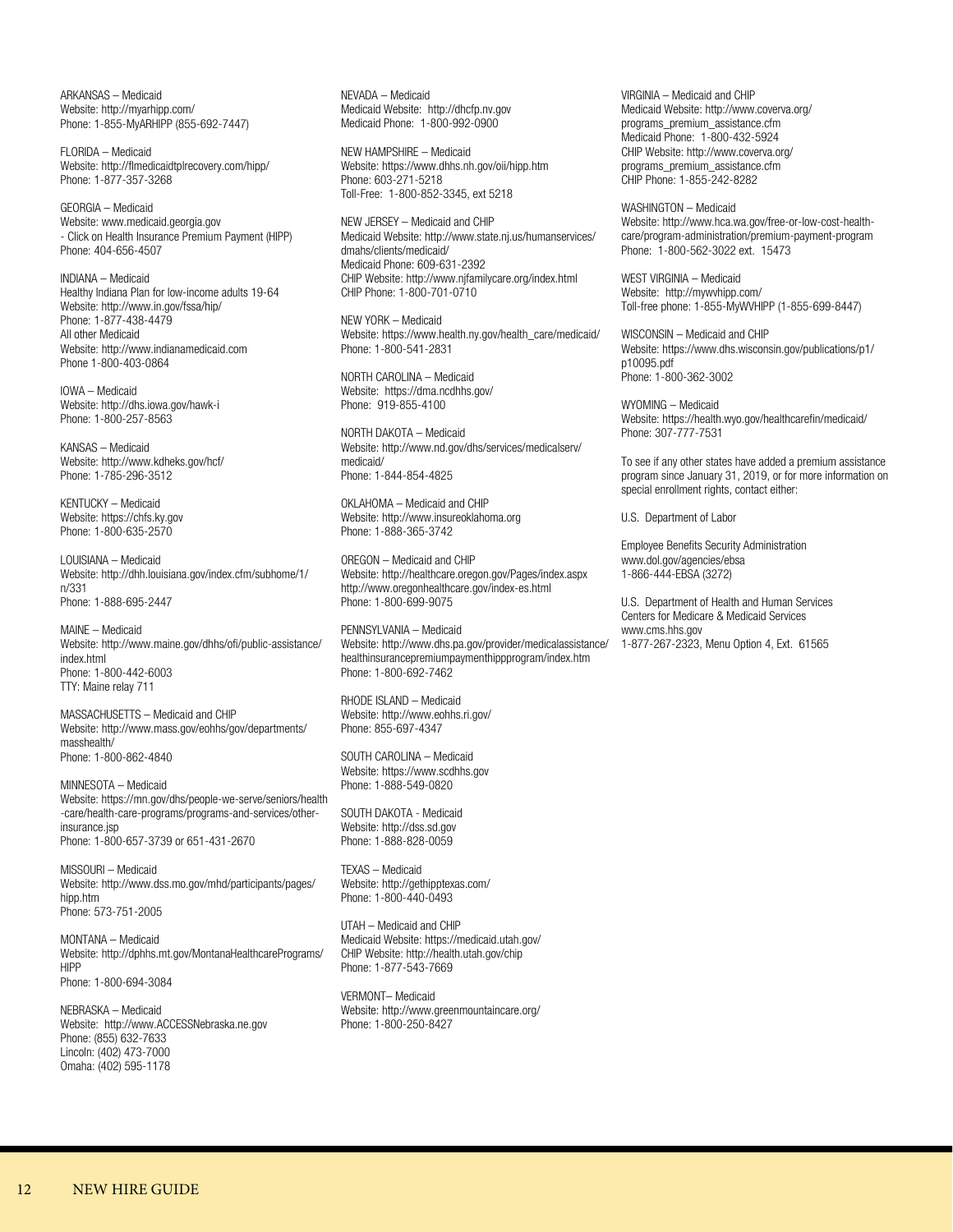ARKANSAS – Medicaid Website: http://myarhipp.com/ Phone: 1-855-MyARHIPP (855-692-7447)

FLORIDA – Medicaid Website: http://flmedicaidtplrecovery.com/hipp/ Phone: 1-877-357-3268

GEORGIA – Medicaid Website: www.medicaid.georgia.gov - Click on Health Insurance Premium Payment (HIPP) Phone: 404-656-4507

INDIANA – Medicaid Healthy Indiana Plan for low-income adults 19-64 Website: http://www.in.gov/fssa/hip/ Phone: 1-877-438-4479 All other Medicaid Website: http://www.indianamedicaid.com Phone 1-800-403-0864

IOWA – Medicaid Website: http://dhs.iowa.gov/hawk-i Phone: 1-800-257-8563

KANSAS – Medicaid Website: http://www.kdheks.gov/hcf/ Phone: 1-785-296-3512

KENTUCKY – Medicaid Website: https://chfs.ky.gov Phone: 1-800-635-2570

LOUISIANA – Medicaid Website: http://dhh.louisiana.gov/index.cfm/subhome/1/ n/331 Phone: 1-888-695-2447

MAINE – Medicaid Website: http://www.maine.gov/dhhs/ofi/public-assistance/ index.html Phone: 1-800-442-6003 TTY: Maine relay 711

MASSACHUSETTS – Medicaid and CHIP Website: http://www.mass.gov/eohhs/gov/departments/ masshealth/ Phone: 1-800-862-4840

MINNESOTA – Medicaid Website: https://mn.gov/dhs/people-we-serve/seniors/health -care/health-care-programs/programs-and-services/otherinsurance.jsp Phone: 1-800-657-3739 or 651-431-2670

MISSOURI – Medicaid Website: http://www.dss.mo.gov/mhd/participants/pages/ hipp.htm Phone: 573-751-2005

MONTANA – Medicaid Website: http://dphhs.mt.gov/MontanaHealthcarePrograms/ HIPP Phone: 1-800-694-3084

NEBRASKA – Medicaid Website: http://www.ACCESSNebraska.ne.gov Phone: (855) 632-7633 Lincoln: (402) 473-7000 Omaha: (402) 595-1178

NEVADA – Medicaid Medicaid Website: http://dhcfp.nv.gov Medicaid Phone: 1-800-992-0900

NEW HAMPSHIRE – Medicaid Website: https://www.dhhs.nh.gov/oii/hipp.htm Phone: 603-271-5218 Toll-Free: 1-800-852-3345, ext 5218

NEW JERSEY – Medicaid and CHIP Medicaid Website: http://www.state.nj.us/humanservices/ dmahs/clients/medicaid/ Medicaid Phone: 609-631-2392 CHIP Website: http://www.njfamilycare.org/index.html CHIP Phone: 1-800-701-0710

NEW YORK – Medicaid Website: https://www.health.ny.gov/health\_care/medicaid/ Phone: 1-800-541-2831

NORTH CAROLINA – Medicaid Website: https://dma.ncdhhs.gov/ Phone: 919-855-4100

NORTH DAKOTA – Medicaid Website: http://www.nd.gov/dhs/services/medicalserv/ medicaid/ Phone: 1-844-854-4825

OKLAHOMA – Medicaid and CHIP Website: http://www.insureoklahoma.org Phone: 1-888-365-3742

OREGON – Medicaid and CHIP Website: http://healthcare.oregon.gov/Pages/index.aspx http://www.oregonhealthcare.gov/index-es.html Phone: 1-800-699-9075

PENNSYLVANIA – Medicaid Website: http://www.dhs.pa.gov/provider/medicalassistance/ healthinsurancepremiumpaymenthippprogram/index.htm Phone: 1-800-692-7462

RHODE ISLAND – Medicaid Website: http://www.eohhs.ri.gov/ Phone: 855-697-4347

SOUTH CAROLINA – Medicaid Website: https://www.scdhhs.gov Phone: 1-888-549-0820

SOUTH DAKOTA - Medicaid Website: http://dss.sd.gov Phone: 1-888-828-0059

TEXAS – Medicaid Website: http://gethipptexas.com/ Phone: 1-800-440-0493

UTAH – Medicaid and CHIP Medicaid Website: https://medicaid.utah.gov/ CHIP Website: http://health.utah.gov/chip Phone: 1-877-543-7669

VERMONT– Medicaid Website: http://www.greenmountaincare.org/ Phone: 1-800-250-8427

VIRGINIA – Medicaid and CHIP Medicaid Website: http://www.coverva.org/ programs\_premium\_assistance.cfm Medicaid Phone: 1-800-432-5924 CHIP Website: http://www.coverva.org/ programs\_premium\_assistance.cfm CHIP Phone: 1-855-242-8282

WASHINGTON – Medicaid Website: http://www.hca.wa.gov/free-or-low-cost-healthcare/program-administration/premium-payment-program Phone: 1-800-562-3022 ext. 15473

WEST VIRGINIA – Medicaid Website: http://mywvhipp.com/ Toll-free phone: 1-855-MyWVHIPP (1-855-699-8447)

WISCONSIN – Medicaid and CHIP Website: https://www.dhs.wisconsin.gov/publications/p1/ p10095.pdf Phone: 1-800-362-3002

WYOMING – Medicaid Website: https://health.wyo.gov/healthcarefin/medicaid/ Phone: 307-777-7531

To see if any other states have added a premium assistance program since January 31, 2019, or for more information on special enrollment rights, contact either:

U.S. Department of Labor

Employee Benefits Security Administration www.dol.gov/agencies/ebsa 1-866-444-EBSA (3272)

U.S. Department of Health and Human Services Centers for Medicare & Medicaid Services www.cms.hhs.gov 1-877-267-2323, Menu Option 4, Ext. 61565